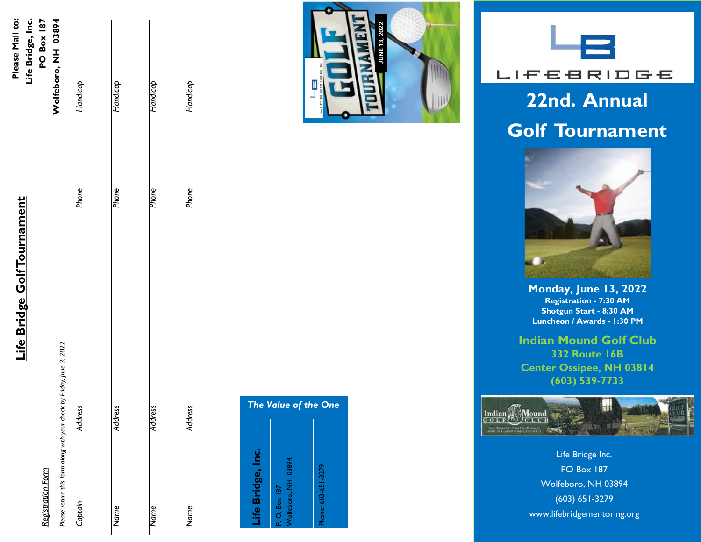|                                                      | Life Bridge, |
|------------------------------------------------------|--------------|
|                                                      |              |
| א היי המוח האם היה ה<br><u>רי</u><br>ו<br>(17.3 p. ) |              |
| ا<br>م:                                              |              |

*Registration Form*

Life Bridge, Inc. **PO Box 187** Please Mail to:

| Wolfeboro, NH 03894                                                   | Handicap       | Handicap     | Handicap       | Handicap    |
|-----------------------------------------------------------------------|----------------|--------------|----------------|-------------|
|                                                                       | Phone          | Phone        | Phone          | Phone       |
| Please return this form along with your check by Friday, June 3, 2022 | <b>Address</b> | ress<br>देवे | <b>Address</b> | Address     |
|                                                                       | Captain        | Name         | Name           | <b>Name</b> |





## **22nd. Annual Golf Tournament**



**Monday, June 13, 2022 Registration - 7:30 AM Shotgun Start - 8:30 AM Luncheon / Awards - 1:30 PM**

**Indian Mound Golf Club 332 Route 16B Center Ossipee, NH 03814 (603) 539 -7733**



Life Bridge Inc. PO Box 187 Wolfeboro, NH 03894 (603) 651 -3279 www.lifebridgementoring.org

### *The Value of the One* Life Bridge, Inc. **Life Bridge, Inc.** P. O. Box 187<br>Wolfeboro, NH 03894 Wolfeboro, NH 03894 Phone: 603-651-3279 Phone: 603-651-3279